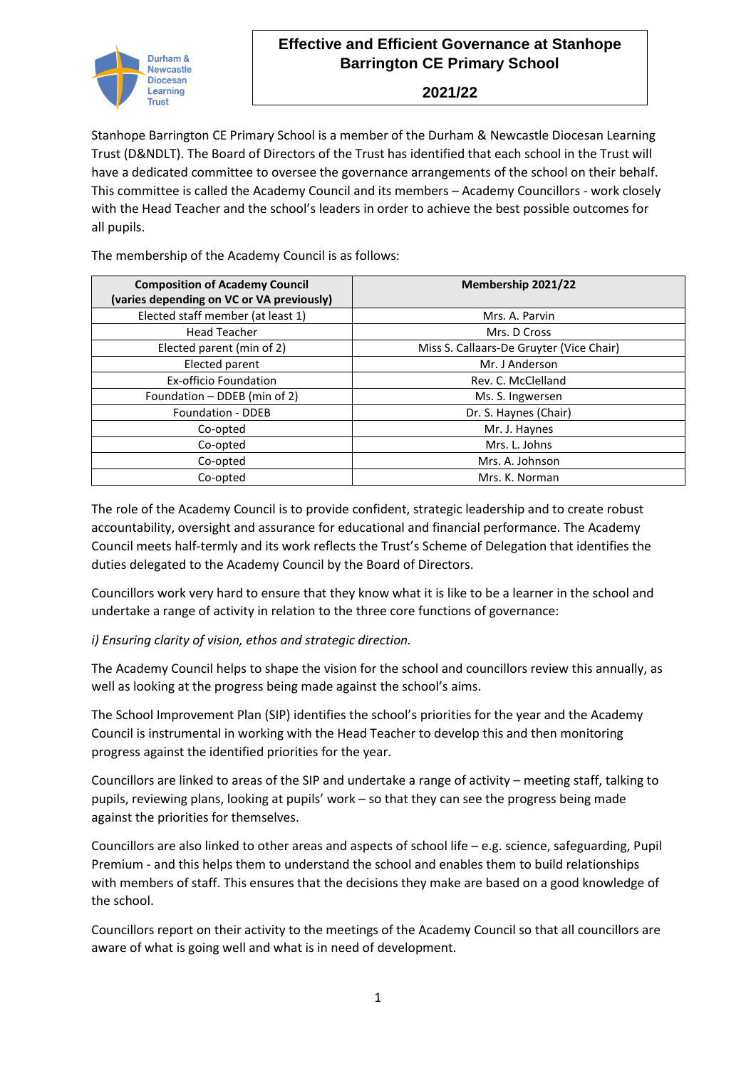

**2021/22**

Stanhope Barrington CE Primary School is a member of the Durham & Newcastle Diocesan Learning Trust (D&NDLT). The Board of Directors of the Trust has identified that each school in the Trust will have a dedicated committee to oversee the governance arrangements of the school on their behalf. This committee is called the Academy Council and its members – Academy Councillors - work closely with the Head Teacher and the school's leaders in order to achieve the best possible outcomes for all pupils.

The membership of the Academy Council is as follows:

| <b>Composition of Academy Council</b><br>(varies depending on VC or VA previously) | Membership 2021/22                       |
|------------------------------------------------------------------------------------|------------------------------------------|
| Elected staff member (at least 1)                                                  | Mrs. A. Parvin                           |
| <b>Head Teacher</b>                                                                | Mrs. D Cross                             |
| Elected parent (min of 2)                                                          | Miss S. Callaars-De Gruyter (Vice Chair) |
| Elected parent                                                                     | Mr. J Anderson                           |
| <b>Ex-officio Foundation</b>                                                       | Rev. C. McClelland                       |
| Foundation - DDEB (min of 2)                                                       | Ms. S. Ingwersen                         |
| <b>Foundation - DDEB</b>                                                           | Dr. S. Haynes (Chair)                    |
| Co-opted                                                                           | Mr. J. Haynes                            |
| Co-opted                                                                           | Mrs. L. Johns                            |
| Co-opted                                                                           | Mrs. A. Johnson                          |
| Co-opted                                                                           | Mrs. K. Norman                           |

The role of the Academy Council is to provide confident, strategic leadership and to create robust accountability, oversight and assurance for educational and financial performance. The Academy Council meets half-termly and its work reflects the Trust's Scheme of Delegation that identifies the duties delegated to the Academy Council by the Board of Directors.

Councillors work very hard to ensure that they know what it is like to be a learner in the school and undertake a range of activity in relation to the three core functions of governance:

### *i) Ensuring clarity of vision, ethos and strategic direction.*

The Academy Council helps to shape the vision for the school and councillors review this annually, as well as looking at the progress being made against the school's aims.

The School Improvement Plan (SIP) identifies the school's priorities for the year and the Academy Council is instrumental in working with the Head Teacher to develop this and then monitoring progress against the identified priorities for the year.

Councillors are linked to areas of the SIP and undertake a range of activity – meeting staff, talking to pupils, reviewing plans, looking at pupils' work – so that they can see the progress being made against the priorities for themselves.

Councillors are also linked to other areas and aspects of school life – e.g. science, safeguarding, Pupil Premium - and this helps them to understand the school and enables them to build relationships with members of staff. This ensures that the decisions they make are based on a good knowledge of the school.

Councillors report on their activity to the meetings of the Academy Council so that all councillors are aware of what is going well and what is in need of development.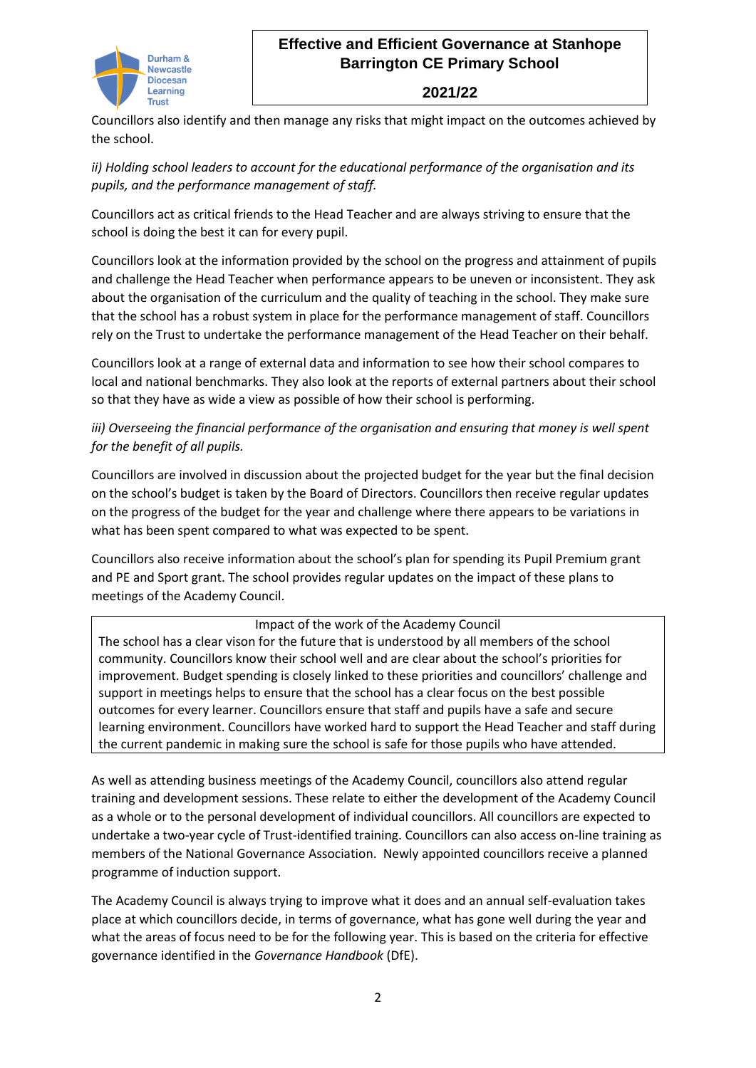

# **Effective and Efficient Governance at Stanhope Barrington CE Primary School**

#### **2021/22**

Councillors also identify and then manage any risks that might impact on the outcomes achieved by the school.

*ii) Holding school leaders to account for the educational performance of the organisation and its pupils, and the performance management of staff.* 

Councillors act as critical friends to the Head Teacher and are always striving to ensure that the school is doing the best it can for every pupil.

Councillors look at the information provided by the school on the progress and attainment of pupils and challenge the Head Teacher when performance appears to be uneven or inconsistent. They ask about the organisation of the curriculum and the quality of teaching in the school. They make sure that the school has a robust system in place for the performance management of staff. Councillors rely on the Trust to undertake the performance management of the Head Teacher on their behalf.

Councillors look at a range of external data and information to see how their school compares to local and national benchmarks. They also look at the reports of external partners about their school so that they have as wide a view as possible of how their school is performing.

*iii) Overseeing the financial performance of the organisation and ensuring that money is well spent for the benefit of all pupils.*

Councillors are involved in discussion about the projected budget for the year but the final decision on the school's budget is taken by the Board of Directors. Councillors then receive regular updates on the progress of the budget for the year and challenge where there appears to be variations in what has been spent compared to what was expected to be spent.

Councillors also receive information about the school's plan for spending its Pupil Premium grant and PE and Sport grant. The school provides regular updates on the impact of these plans to meetings of the Academy Council.

### Impact of the work of the Academy Council

The school has a clear vison for the future that is understood by all members of the school community. Councillors know their school well and are clear about the school's priorities for improvement. Budget spending is closely linked to these priorities and councillors' challenge and support in meetings helps to ensure that the school has a clear focus on the best possible outcomes for every learner. Councillors ensure that staff and pupils have a safe and secure learning environment. Councillors have worked hard to support the Head Teacher and staff during the current pandemic in making sure the school is safe for those pupils who have attended.

As well as attending business meetings of the Academy Council, councillors also attend regular training and development sessions. These relate to either the development of the Academy Council as a whole or to the personal development of individual councillors. All councillors are expected to undertake a two-year cycle of Trust-identified training. Councillors can also access on-line training as members of the National Governance Association. Newly appointed councillors receive a planned programme of induction support.

The Academy Council is always trying to improve what it does and an annual self-evaluation takes place at which councillors decide, in terms of governance, what has gone well during the year and what the areas of focus need to be for the following year. This is based on the criteria for effective governance identified in the *Governance Handbook* (DfE).